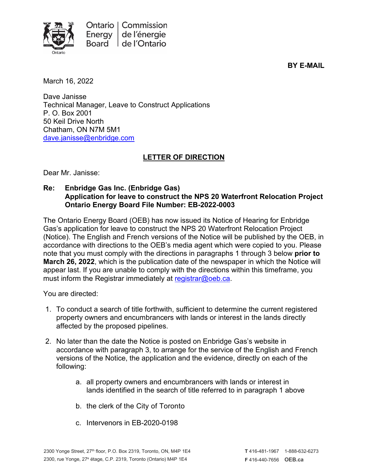

**BY E-MAIL**

March 16, 2022

Dave Janisse Technical Manager, Leave to Construct Applications P. O. Box 2001 50 Keil Drive North Chatham, ON N7M 5M1 [dave.janisse@enbridge.com](mailto:dave.janisse@enbridge.com)

## **LETTER OF DIRECTION**

Dear Mr. Janisse:

## **Re: Enbridge Gas Inc. (Enbridge Gas) Application for leave to construct the NPS 20 Waterfront Relocation Project Ontario Energy Board File Number: EB-2022-0003**

The Ontario Energy Board (OEB) has now issued its Notice of Hearing for Enbridge Gas's application for leave to construct the NPS 20 Waterfront Relocation Project (Notice). The English and French versions of the Notice will be published by the OEB, in accordance with directions to the OEB's media agent which were copied to you. Please note that you must comply with the directions in paragraphs 1 through 3 below **prior to March 26, 2022**, which is the publication date of the newspaper in which the Notice will appear last. If you are unable to comply with the directions within this timeframe, you must inform the Registrar immediately at [registrar@oeb.ca.](mailto:registrar@oeb.ca)

You are directed:

- 1. To conduct a search of title forthwith, sufficient to determine the current registered property owners and encumbrancers with lands or interest in the lands directly affected by the proposed pipelines.
- 2. No later than the date the Notice is posted on Enbridge Gas's website in accordance with paragraph 3, to arrange for the service of the English and French versions of the Notice, the application and the evidence, directly on each of the following:
	- a. all property owners and encumbrancers with lands or interest in lands identified in the search of title referred to in paragraph 1 above
	- b. the clerk of the City of Toronto
	- c. Intervenors in EB-2020-0198